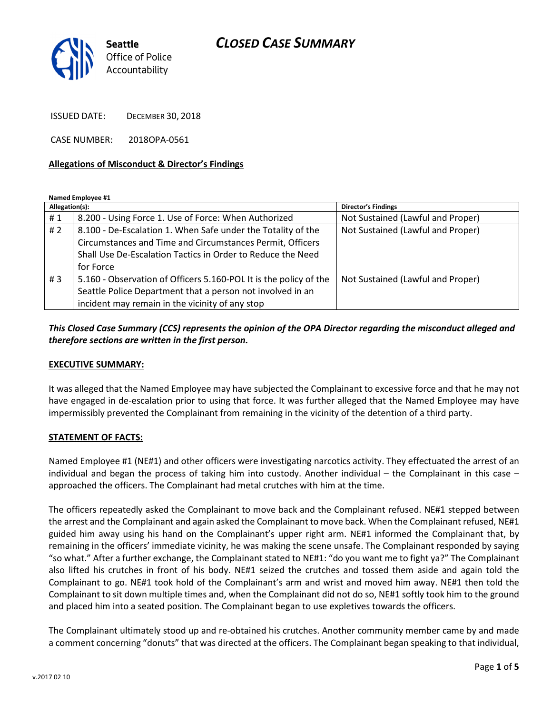# CLOSED CASE SUMMARY



ISSUED DATE: DECEMBER 30, 2018

CASE NUMBER: 2018OPA-0561

#### Allegations of Misconduct & Director's Findings

Named Employee #1

| Allegation(s): |                                                                   | <b>Director's Findings</b>        |
|----------------|-------------------------------------------------------------------|-----------------------------------|
| #1             | 8.200 - Using Force 1. Use of Force: When Authorized              | Not Sustained (Lawful and Proper) |
| # $2$          | 8.100 - De-Escalation 1. When Safe under the Totality of the      | Not Sustained (Lawful and Proper) |
|                | Circumstances and Time and Circumstances Permit, Officers         |                                   |
|                | Shall Use De-Escalation Tactics in Order to Reduce the Need       |                                   |
|                | for Force                                                         |                                   |
| #3             | 5.160 - Observation of Officers 5.160-POL It is the policy of the | Not Sustained (Lawful and Proper) |
|                | Seattle Police Department that a person not involved in an        |                                   |
|                | incident may remain in the vicinity of any stop                   |                                   |

## This Closed Case Summary (CCS) represents the opinion of the OPA Director regarding the misconduct alleged and therefore sections are written in the first person.

#### EXECUTIVE SUMMARY:

It was alleged that the Named Employee may have subjected the Complainant to excessive force and that he may not have engaged in de-escalation prior to using that force. It was further alleged that the Named Employee may have impermissibly prevented the Complainant from remaining in the vicinity of the detention of a third party.

#### STATEMENT OF FACTS:

Named Employee #1 (NE#1) and other officers were investigating narcotics activity. They effectuated the arrest of an individual and began the process of taking him into custody. Another individual – the Complainant in this case – approached the officers. The Complainant had metal crutches with him at the time.

The officers repeatedly asked the Complainant to move back and the Complainant refused. NE#1 stepped between the arrest and the Complainant and again asked the Complainant to move back. When the Complainant refused, NE#1 guided him away using his hand on the Complainant's upper right arm. NE#1 informed the Complainant that, by remaining in the officers' immediate vicinity, he was making the scene unsafe. The Complainant responded by saying "so what." After a further exchange, the Complainant stated to NE#1: "do you want me to fight ya?" The Complainant also lifted his crutches in front of his body. NE#1 seized the crutches and tossed them aside and again told the Complainant to go. NE#1 took hold of the Complainant's arm and wrist and moved him away. NE#1 then told the Complainant to sit down multiple times and, when the Complainant did not do so, NE#1 softly took him to the ground and placed him into a seated position. The Complainant began to use expletives towards the officers.

The Complainant ultimately stood up and re-obtained his crutches. Another community member came by and made a comment concerning "donuts" that was directed at the officers. The Complainant began speaking to that individual,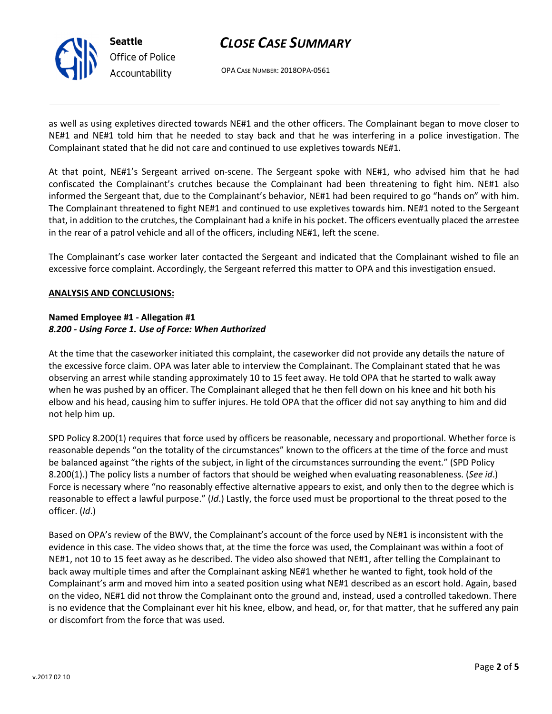

# CLOSE CASE SUMMARY

OPA CASE NUMBER: 2018OPA-0561

as well as using expletives directed towards NE#1 and the other officers. The Complainant began to move closer to NE#1 and NE#1 told him that he needed to stay back and that he was interfering in a police investigation. The Complainant stated that he did not care and continued to use expletives towards NE#1.

At that point, NE#1's Sergeant arrived on-scene. The Sergeant spoke with NE#1, who advised him that he had confiscated the Complainant's crutches because the Complainant had been threatening to fight him. NE#1 also informed the Sergeant that, due to the Complainant's behavior, NE#1 had been required to go "hands on" with him. The Complainant threatened to fight NE#1 and continued to use expletives towards him. NE#1 noted to the Sergeant that, in addition to the crutches, the Complainant had a knife in his pocket. The officers eventually placed the arrestee in the rear of a patrol vehicle and all of the officers, including NE#1, left the scene.

The Complainant's case worker later contacted the Sergeant and indicated that the Complainant wished to file an excessive force complaint. Accordingly, the Sergeant referred this matter to OPA and this investigation ensued.

### ANALYSIS AND CONCLUSIONS:

### Named Employee #1 - Allegation #1 8.200 - Using Force 1. Use of Force: When Authorized

At the time that the caseworker initiated this complaint, the caseworker did not provide any details the nature of the excessive force claim. OPA was later able to interview the Complainant. The Complainant stated that he was observing an arrest while standing approximately 10 to 15 feet away. He told OPA that he started to walk away when he was pushed by an officer. The Complainant alleged that he then fell down on his knee and hit both his elbow and his head, causing him to suffer injures. He told OPA that the officer did not say anything to him and did not help him up.

SPD Policy 8.200(1) requires that force used by officers be reasonable, necessary and proportional. Whether force is reasonable depends "on the totality of the circumstances" known to the officers at the time of the force and must be balanced against "the rights of the subject, in light of the circumstances surrounding the event." (SPD Policy 8.200(1).) The policy lists a number of factors that should be weighed when evaluating reasonableness. (See id.) Force is necessary where "no reasonably effective alternative appears to exist, and only then to the degree which is reasonable to effect a lawful purpose." (Id.) Lastly, the force used must be proportional to the threat posed to the officer. (Id.)

Based on OPA's review of the BWV, the Complainant's account of the force used by NE#1 is inconsistent with the evidence in this case. The video shows that, at the time the force was used, the Complainant was within a foot of NE#1, not 10 to 15 feet away as he described. The video also showed that NE#1, after telling the Complainant to back away multiple times and after the Complainant asking NE#1 whether he wanted to fight, took hold of the Complainant's arm and moved him into a seated position using what NE#1 described as an escort hold. Again, based on the video, NE#1 did not throw the Complainant onto the ground and, instead, used a controlled takedown. There is no evidence that the Complainant ever hit his knee, elbow, and head, or, for that matter, that he suffered any pain or discomfort from the force that was used.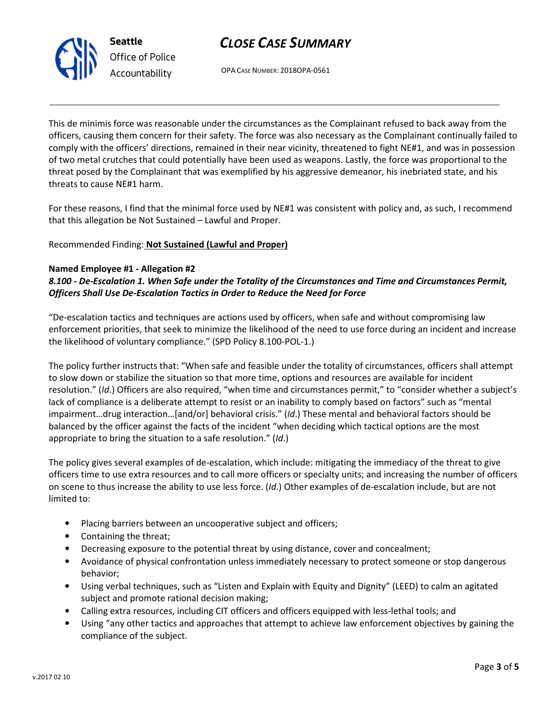



OPA CASE NUMBER: 2018OPA-0561

This de minimis force was reasonable under the circumstances as the Complainant refused to back away from the officers, causing them concern for their safety. The force was also necessary as the Complainant continually failed to comply with the officers' directions, remained in their near vicinity, threatened to fight NE#1, and was in possession of two metal crutches that could potentially have been used as weapons. Lastly, the force was proportional to the threat posed by the Complainant that was exemplified by his aggressive demeanor, his inebriated state, and his threats to cause NE#1 harm.

For these reasons, I find that the minimal force used by NE#1 was consistent with policy and, as such, I recommend that this allegation be Not Sustained – Lawful and Proper.

## Recommended Finding: Not Sustained (Lawful and Proper)

### Named Employee #1 - Allegation #2

8.100 - De-Escalation 1. When Safe under the Totality of the Circumstances and Time and Circumstances Permit, Officers Shall Use De-Escalation Tactics in Order to Reduce the Need for Force

"De-escalation tactics and techniques are actions used by officers, when safe and without compromising law enforcement priorities, that seek to minimize the likelihood of the need to use force during an incident and increase the likelihood of voluntary compliance." (SPD Policy 8.100-POL-1.)

The policy further instructs that: "When safe and feasible under the totality of circumstances, officers shall attempt to slow down or stabilize the situation so that more time, options and resources are available for incident resolution." (Id.) Officers are also required, "when time and circumstances permit," to "consider whether a subject's lack of compliance is a deliberate attempt to resist or an inability to comply based on factors" such as "mental impairment…drug interaction…[and/or] behavioral crisis." (Id.) These mental and behavioral factors should be balanced by the officer against the facts of the incident "when deciding which tactical options are the most appropriate to bring the situation to a safe resolution." (Id.)

The policy gives several examples of de-escalation, which include: mitigating the immediacy of the threat to give officers time to use extra resources and to call more officers or specialty units; and increasing the number of officers on scene to thus increase the ability to use less force. (Id.) Other examples of de-escalation include, but are not limited to:

- Placing barriers between an uncooperative subject and officers;
- Containing the threat;
- Decreasing exposure to the potential threat by using distance, cover and concealment;
- Avoidance of physical confrontation unless immediately necessary to protect someone or stop dangerous behavior;
- Using verbal techniques, such as "Listen and Explain with Equity and Dignity" (LEED) to calm an agitated subject and promote rational decision making;
- Calling extra resources, including CIT officers and officers equipped with less-lethal tools; and
- Using "any other tactics and approaches that attempt to achieve law enforcement objectives by gaining the compliance of the subject.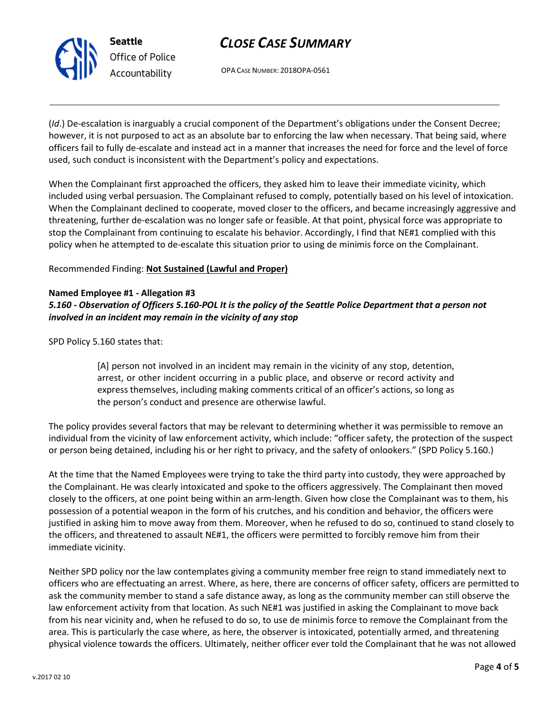

# CLOSE CASE SUMMARY

OPA CASE NUMBER: 2018OPA-0561

(Id.) De-escalation is inarguably a crucial component of the Department's obligations under the Consent Decree; however, it is not purposed to act as an absolute bar to enforcing the law when necessary. That being said, where officers fail to fully de-escalate and instead act in a manner that increases the need for force and the level of force used, such conduct is inconsistent with the Department's policy and expectations.

When the Complainant first approached the officers, they asked him to leave their immediate vicinity, which included using verbal persuasion. The Complainant refused to comply, potentially based on his level of intoxication. When the Complainant declined to cooperate, moved closer to the officers, and became increasingly aggressive and threatening, further de-escalation was no longer safe or feasible. At that point, physical force was appropriate to stop the Complainant from continuing to escalate his behavior. Accordingly, I find that NE#1 complied with this policy when he attempted to de-escalate this situation prior to using de minimis force on the Complainant.

Recommended Finding: Not Sustained (Lawful and Proper)

### Named Employee #1 - Allegation #3

5.160 - Observation of Officers 5.160-POL It is the policy of the Seattle Police Department that a person not involved in an incident may remain in the vicinity of any stop

SPD Policy 5.160 states that:

[A] person not involved in an incident may remain in the vicinity of any stop, detention, arrest, or other incident occurring in a public place, and observe or record activity and express themselves, including making comments critical of an officer's actions, so long as the person's conduct and presence are otherwise lawful.

The policy provides several factors that may be relevant to determining whether it was permissible to remove an individual from the vicinity of law enforcement activity, which include: "officer safety, the protection of the suspect or person being detained, including his or her right to privacy, and the safety of onlookers." (SPD Policy 5.160.)

At the time that the Named Employees were trying to take the third party into custody, they were approached by the Complainant. He was clearly intoxicated and spoke to the officers aggressively. The Complainant then moved closely to the officers, at one point being within an arm-length. Given how close the Complainant was to them, his possession of a potential weapon in the form of his crutches, and his condition and behavior, the officers were justified in asking him to move away from them. Moreover, when he refused to do so, continued to stand closely to the officers, and threatened to assault NE#1, the officers were permitted to forcibly remove him from their immediate vicinity.

Neither SPD policy nor the law contemplates giving a community member free reign to stand immediately next to officers who are effectuating an arrest. Where, as here, there are concerns of officer safety, officers are permitted to ask the community member to stand a safe distance away, as long as the community member can still observe the law enforcement activity from that location. As such NE#1 was justified in asking the Complainant to move back from his near vicinity and, when he refused to do so, to use de minimis force to remove the Complainant from the area. This is particularly the case where, as here, the observer is intoxicated, potentially armed, and threatening physical violence towards the officers. Ultimately, neither officer ever told the Complainant that he was not allowed